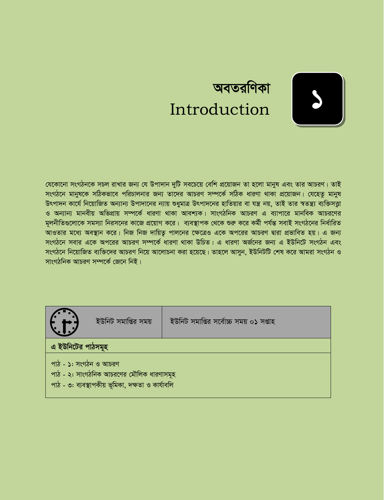

# অবতরণিকা Introduction

ইউনিট সমাপ্তির সর্বোচ্চ সময় ০১ সপ্তাহ

যেকোনো সংগঠনকে সচল রাখার জন্য যে উপাদান দুটি সবচেয়ে বেশি প্রয়োজন তা হলো মানুষ এবং তার আচরণ। তাই সংগঠনে মানুষকে সঠিকভাবে পরিচালনার জন্য তাদের আচরণ সম্পর্কে সঠিক ধারণা থাকা প্রয়োজন। যেহেতু মানুষ উৎপাদন কার্যে নিয়োজিত অন্যান্য উপাদানের ন্যায় শুধুমাত্র উৎপাদনের হাতিয়ার বা যন্ত্র নয়, তাই তার স্বতন্ত্র্য ব্যক্তিসত্তা ও অন্যান্য মানবীয় অভিপ্রায় সম্পর্কে ধারণা থাকা আবশ্যক। সাংগঠনিক আচরণ এ ব্যাপারে মানবিক আচরণের মুলনীতিগুলোকে সমস্যা নিরসনের কাজে প্রয়োগ করে। ব্যবস্থাপক থেকে শুরু করে কর্মী পর্যন্ত সবাই সংগঠনের নির্ধারিত আওতার মধ্যে অবস্থান করে। নিজ নিজ দায়িতু পালনের ক্ষেত্রেও একে অপরের আচরণ দ্বারা প্রভাবিত হয়। এ জন্য সংগঠনে সবার একে অপরের আচরণ সম্পর্কে ধারণা থাকা উচিত। এ ধারণা অর্জনের জন্য এ ইউনিটে সংগঠন এবং সংগঠনে নিয়োজিত ব্যক্তিদের আচরণ নিয়ে আলোচনা করা হয়েছে। তাহলে আসুন, ইউনিটটি শেষ করে আমরা সংগঠন ও সাংগঠনিক আচরণ সম্পর্কে জেনে নিই।



- পাঠ ১: সংগঠন ও আচরণ
- পাঠ ২: সাংগঠনিক আচরণের মৌলিক ধারণাসমূহ
- পাঠ ৩: ব্যবস্থাপকীয় ভূমিকা, দক্ষতা ও কাৰ্যাবলি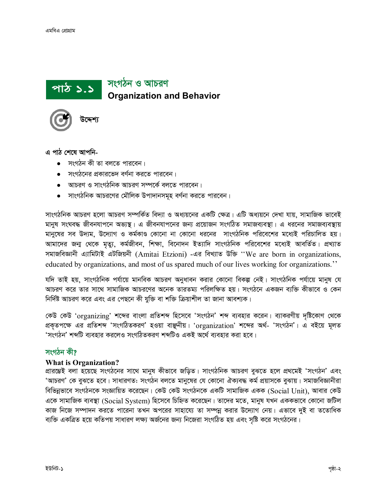সংগঠন ও আচরণ পাঠ ১.১ **Organization and Behavior** 



এ পাঠ শেষে আপনি-

- $\bullet$  সংগঠন কী তা বলতে পারবেন।
- সংগঠনের প্রকারভেদ বর্ণনা করতে পারবেন।
- আচরণ ও সাংগঠনিক আচরণ সম্পর্কে বলতে পারবেন।
- সাংগঠনিক আচরণের মৌলিক উপাদানসমূহ বর্ণনা করতে পারবেন।

সাংগঠনিক আচরণ হলো আচরণ সম্পর্কিত বিদ্যা ও অধ্যয়নের একটি ক্ষেত্র। এটি অধ্যয়নে দেখা যায়, সামাজিক ভাবেই মানুষ সংঘবদ্ধ জীবনযাপনে অভ্যস্থ। এ জীবনযাপনের জন্য প্রয়োজন সংগঠিত সমাজব্যবস্থা। এ ধরনের সমাজব্যবস্থায় মানুষের সব উদ্যম, উদ্যোগ ও কর্মকাণ্ড কোনো না কোনো ধরনের সাংগঠনিক পরিবেশের মধ্যেই পরিচালিত হয়। আমাদের জন্ম থেকে মৃত্যু, কর্মজীবন, শিক্ষা, বিনোদন ইত্যাদি সাংগঠনিক পরিবেশের মধ্যেই আবর্তিত। প্রখ্যাত সমাজবিজ্ঞানী এ্যামিটাই এটজিয়নী (Amitai Etzioni) -এর বিখ্যাত উক্তি "We are born in organizations, educated by organizations, and most of us spared much of our lives working for organizations."

যদি তাই হয়, সাংগঠনিক পৰ্যায়ে মানবিক আচরণ অনুধাবন করার কোনো বিকল্প নেই। সাংগঠনিক পর্যায়ে মানুষ যে আচরণ করে তার সাথে সামাজিক আচরণের অনেক তারতম্য পরিলক্ষিত হয়। সংগঠনে একজন ব্যক্তি কীভাবে ও কেন নির্দিষ্ট আচরণ করে এবং এর পেছনে কী যুক্তি বা শক্তি ক্রিয়াশীল তা জানা আবশ্যক।

কেউ কেউ 'organizing' শব্দের বাংলা প্রতিশব্দ হিসেবে 'সংগঠন' শব্দ ব্যবহার করেন। ব্যাকরণীয় দৃষ্টিকোণ থেকে প্রকৃতপক্ষে এর প্রতিশব্দ 'সংগঠিতকরণ' হওয়া বাঞ্জনীয়। 'organization' শব্দের অর্থ- 'সংগঠন'। এ বইয়ে মূলত 'সংগঠন' শব্দটি ব্যবহার করলেও সংগঠিতকরণ শব্দটিও একই অর্থে ব্যবহার করা হবে।

### সংগঠন কী?

### **What is Organization?**

প্ৰাৱম্ভেই বলা হয়েছে সংগঠনের সাথে মানুষ কীভাবে জড়িত। সাংগঠনিক আচরণ বুঝতে হলে প্রথমেই 'সংগঠন' এবং 'আচরণ' কে বুঝতে হবে। সাধারণত: সংগঠন বলতে মানুষের যে কোনো ঐক্যবদ্ধ কর্ম প্রয়াসকে বুঝায়। সমাজবিজ্ঞানীরা বিভিন্নভাবে সংগঠনকে সংজ্ঞায়িত করেছেন। কেউ কেউ সংগঠনকে একটি সামাজিক একক (Social Unit), আবার কেউ একে সামাজিক ব্যবস্থা (Social System) হিসেবে চিহ্নিত করেছেন। তাদের মতে, মানুষ যখন এককভাবে কোনো জটিল কাজ নিজে সম্পাদন করতে পারেনা তখন অপরের সাহায্যে তা সম্পন্ন করার উদ্যোগ নেয়। এভাবে দুই বা ততোধিক ব্যক্তি একত্রিত হয়ে কতিপয় সাধারণ লক্ষ্য অর্জনের জন্য নিজেরা সংগঠিত হয় এবং সৃষ্টি করে সংগঠনের।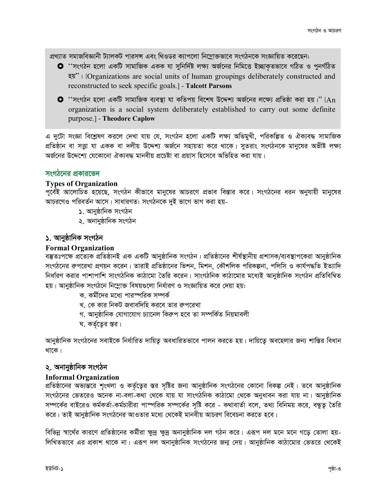প্রখ্যাত সমাজবিজ্ঞানী ট্যালকট পারসন্স এবং থিওডর ক্যাপলো নিম্নোক্তভাবে সংগঠনকে সংজ্ঞায়িত করেছেন:

- **O** ''সংগঠন হলো একটি সামাজিক একক যা সুনির্দিষ্ট লক্ষ্য অর্জনের নিমিত্তে ইচ্ছাকতভাবে গঠিত ও পুনর্গঠিত रश" | [Organizations are social units of human groupings deliberately constructed and reconstructed to seek specific goals.] - Talcott Parsons
- $\bullet$  ''সংগঠন হলো একটি সামাজিক ব্যবস্থা যা কতিপয় বিশেষ উদ্দেশ্য অর্জনের লক্ষ্যে প্রতিষ্ঠা করা হয়।'' [An organization is a social system deliberately established to carry out some definite purpose.] - Theodore Caplow

এ দুটো সংজ্ঞা বিশ্লেষণ করলে দেখা যায় যে, সংগঠন হলো একটি লক্ষ্য অভিমুখী, পরিকল্পিত ও ঐক্যবদ্ধ সামাজিক প্রতিষ্ঠান বা সত্না যা একক বা দলীয় উদ্দেশ্য অর্জনে সহায়তা করে থাকে। সুতরাং সংগঠনকে মানুষের অভীষ্ট লক্ষ্য অৰ্জনের উদ্দেশ্যে যেকোনো ঐক্যবদ্ধ মানবীয় প্রচেষ্টা বা প্রয়াস হিসেবে অভিহিত করা যায়।

### সংগঠনের প্রকারভেদ

### **Types of Organization**

পূর্বেই আলোচিত হয়েছে, সংগঠন কীভাবে মানুষের আচরণে প্রভাব বিস্তার করে। সংগঠনের ধরন অনুযায়ী মানুষের আচরণেও পরিবর্তন আসে। সাধারণত: সংগঠনকে দুই ভাগে ভাগ করা হয়-

- ১. আনুষ্ঠানিক সংগঠন
- ২. অনানুষ্ঠানিক সংগঠন

### ১. আনুষ্ঠানিক সংগঠন

### **Formal Organization**

বম্ভূতঃপক্ষে প্ৰত্যেক প্ৰতিষ্ঠানই এক একটি আনুষ্ঠানিক সংগঠন। প্ৰতিষ্ঠানের শীৰ্ষস্থানীয় প্ৰশাসক/ব্যবস্থাপকেরা আনুষ্ঠানিক সংগঠনের রুপরেখা প্রণয়ন করেন। তারাই প্রতিষ্ঠানের ভিশন, মিশন, কৌশলিক পরিকল্পনা, পলিসি ও কার্যপদ্ধতি ইত্যাদি নিৰ্ধাৱণ করার পাশাপাশি সাংগঠনিক কাঠামো তৈরি করেন। সাংগঠনিক কাঠামোর মধ্যেই আনুষ্ঠানিক সংগঠন প্রতিবিম্বিত হয়। আনুষ্ঠানিক সংগঠনে নিম্নোক্ত বিষয়গুলো নিৰ্ধারণ ও সংজ্ঞায়িত করে দেয়া হয়:

- ক, কর্মীদের মধ্যে পারস্পরিক সম্পর্ক
- খ. কে কার নিকট জবাবদিহি করবে তার রুপরেখা
- গ. আনুষ্ঠানিক যোগাযোগ চ্যানেল কিরুপ হবে তা সম্পর্কিত নিয়মাবলী
- ঘ. কর্তৃতের স্তর।

আনুষ্ঠানিক সংগঠনের সবাইকে নির্ধারিত দায়িত্ব অবধারিতভাবে পালন করতে হয়। দায়িত্বে অবহেলার জন্য শাস্তির বিধান থাকে।

### ২. অনানুষ্ঠানিক সংগঠন

### **Informal Organization**

প্রতিষ্ঠানের অভ্যন্তরে শংখলা ও কর্তৃত্বের স্তর সৃষ্টির জন্য আনুষ্ঠানিক সংগঠনের কোনো বিকল্প নেই। তবে আনুষ্ঠানিক সংগঠনের ভেতরেও অনেক না-বলা-কথা থেকে যায় যা সাংগঠনিক কাঠামো থেকে অনুধাবন করা যায় না। আনুষ্ঠানিক সম্পর্কের বাইরেও কর্মকর্তা-কর্মচারীরা পাস্পরিক সম্পর্কের সৃষ্টি করে - কথাবার্তা বলে, তথ্য বিনিময় করে, বন্ধুতু তৈরি করে। তাই আনুষ্ঠানিক সংগঠনের আওতার মধ্যে থেকেই মানবীয় আচরণ বিবেচনা করতে হবে।

বিভিন্ন স্বার্থের কারণে প্রতিষ্ঠানের কর্মীরা ক্ষুদ্র ক্ষুদ্র অনানুষ্ঠানিক দল গঠন করে। এরূপ দল মনে মনে গড়ে তোলা হয়-লিখিতভাবে এর প্রকাশ থাকে না। এরূপ দল অনানুষ্ঠানিক সংগঠনের জন্ম দেয়। আনুষ্ঠানিক কাঠামোর ভেতরে থেকেই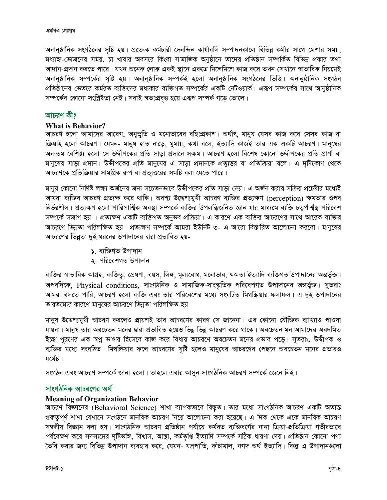অনানুষ্ঠানিক সংগঠনের সৃষ্টি হয়। প্রত্যেক কর্মচারী দৈনন্দিন কার্যাবলি সম্পাদনকালে বিভিন্ন কর্মীর সাথে মেশার সময়, মধ্যাহ্ন-ভোজনের সময়, চা খাবার অবসরে কিংবা সামাজিক অনুষ্ঠানে তাদের প্রতিষ্ঠান সম্পর্কিত বিভিন্ন প্রকার তথ্য আদান-প্ৰদান করতে পারে। যখন অনেক লোক একই স্থানে একত্রে মিলেমিশে কাজ করে তখন সেখানে স্বাভাবিক নিয়মেই অনানুষ্ঠানিক সম্পর্কের সৃষ্টি হয়। অনানুষ্ঠানিক সম্পর্কই হলো অনানুষ্ঠানিক সংগঠনের ভিত্তি। অনানুষ্ঠানিক সংগঠন প্রতিষ্ঠানের ভেতরে কর্মরত ব্যক্তিদের মধ্যকার ব্যক্তিগত সম্পর্কের একটি নেটওয়ার্ক। এরূপ সম্পর্কের সাথে আনুষ্ঠানিক সম্পর্কের কোনো সংশ্লিষ্টতা নেই। সবাই স্বতঃপ্রবত্ত হয়ে এরূপ সম্পর্ক গড়ে তোলে।

### আচরণ কী?

### **What is Behavior?**

আচরণ হলো আমাদের আবেগ, অনুভূতি ও মনোভাবের বহিঃপ্রকাশ। অর্থাৎ, মানুষ যেসব কাজ করে সেসব কাজ বা ক্রিয়াই হলো আচরণ। যেমন- মানুষ হাত নাড়ে, ঘুমায়, কথা বলে, ইত্যাদি কাজই তার এক একটি আচরণ। মানুষের অন্যতম বৈশিষ্ট্য হলো সে উদ্দীপকের প্রতি সাড়া প্রদানে সক্ষম। আচরণ হলো বিশেষ কোনো উদ্দীপকের প্রতি প্রাণী বা মানুষের সাড়া প্রদান। উদ্দীপকের প্রতি মানুষের এ সাড়া প্রদানকে প্রত্যুত্তর বা প্রতিক্রিয়া বলে। এ দৃষ্টিকোণ থেকে আচরণকে প্রতিক্রিয়ার সামগ্রিক রুপ বা প্রত্যুত্তরের সমষ্টি বলা যেতে পারে।

মানুষ কোনো নির্দিষ্ট লক্ষ্য অর্জনের জন্য সচেতনভাবে উদ্দীপকের প্রতি সাড়া দেয়। এ অর্জন করার সক্রিয় প্রচেষ্টার মধ্যেই আমরা ব্যক্তির আচরণ প্রত্যক্ষ করে থাকি। অবশ্য উদ্দেশ্যমুখী আচরণ ব্যক্তির প্রত্যক্ষণ (perception) ক্ষমতার ওপর নিৰ্ভৱশীল। প্ৰত্যক্ষণ হলো পাৱিপাৰ্শ্বিক অবস্থা সম্পৰ্কে ব্যক্তিৱ উপলব্ধিজনিত জ্ঞান যাৱ মাধ্যমে ব্যক্তি চতুৰ্পাৰ্শ্বস্থ পৱিবেশ সম্পর্কে সজাগ হয় । প্রত্যক্ষণ একটি ব্যক্তিগত অনুভব প্রক্রিয়া। এ কারণে এক ব্যক্তির আচরণের সাথে আরেক ব্যক্তির আচরণে ভিন্নতা পরিলক্ষিত হয়। প্রত্যক্ষণ সম্পর্কে আমরা ইউনিট ৩- এ আরো বিস্তারিত আলোচনা করবো। মানুষের আচরণের ভিন্নতা দুই ধরনের উপাদানের দ্বারা প্রভাবিত হয়-

- ১. ব্যক্তিগত উপাদান
- ২. পরিবেশগত উপাদান

ব্যক্তির স্বাভাবিক আগ্রহ, ব্যক্তিত্ব, প্রেষণা, বয়স, লিঙ্গ, মূল্যবোধ, মনোভাব, ক্ষমতা ইত্যাদি ব্যক্তিগত উপাদানের অন্তর্ভুক্ত। অপরদিকে, Physical conditions, সাংগঠনিক ও সামাজিক-সাংস্কৃতিক পরিবেশগত উপাদানের অন্তর্ভুক্ত। সুতরাং আমরা বলতে পারি, আচরণ হলো ব্যক্তি এবং তার পরিবেশের মধ্যে সংঘটিত মিথস্ক্রিয়ার ফলাফল। এ দুই উপাদানের তারতম্যের কারণে মানুষের আচরণে ভিন্নতা পরিলক্ষিত হয়।

মানুষ উদ্দেশ্যমুখী আচরণ করলেও প্রায়শই তার আচরণের কারণ সে জানেনা। এর কোনো যৌক্তিক ব্যাখ্যাও পাওয়া যায়না। মানুষ তার অবচেতন মনের দ্বারা প্রভাবিত হয়েও ভিন্ন ভিন্ন আচরণ করে থাকে। অবচেতন মন আমাদের অবদমিত ইচ্ছা পূরণের এক স্বপ্ন ভাণ্ডার হিসেবে কাজ করে বিধায় আচরণে অবচেতন মনের প্রভাব পড়ে। সুতরাং, উদ্দীপক ও ব্যক্তির মধ্যে সংঘঠিত মিথস্ক্রিয়ার ফলে আচরণের সৃষ্টি হলেও মানুষের আচরণের পেছনে অবচেতন মনের প্রভাবও যথেষ্ট।

সংগঠন এবং আচরণ সম্পর্কে জানা হলো। তাহলে এবার আসন সাংগঠনিক আচরণ সম্পর্কে জেনে নিই।

### সাংগঠনিক আচরণের অর্থ

### **Meaning of Organization Behavior**

আচরণ বিজ্ঞানের (Behavioral Science) শাখা ব্যাপকভাবে বিস্তৃত। তার মধ্যে সাংগঠনিক আচরণ একটি অত্যন্ত গুরুতুপূর্ণ শাখা যেখানে সংগঠনে মানবিক আচরণ নিয়ে আলোচনা করা হয়েছে। এ দিক থেকে একে মানবিক আচরণ সম্বন্ধীয় বিজ্ঞান বলা হয়। সাংগঠনিক আচরণ প্রতিষ্ঠান পর্যায়ে কর্মরত ব্যক্তিবর্গের নানা ক্রিয়া-প্রতিক্রিয়া গভীরভাবে পর্যবেক্ষণ করে সদস্যদের দৃষ্টিভঙ্গি, বিশ্বাস, আস্থা, কর্মতৃপ্তি ইত্যাদি সম্পর্কে সঠিক ধারণা দেয়। প্রতিষ্ঠান কোনো পণ্য তৈরি করার জন্য বিভিন্ন উপাদান ব্যবহার করে, যেমন- যন্ত্রপাতি, কাঁচামাল, নগদ অর্থ ইত্যাদি। কিন্তু এ উপাদানগুলো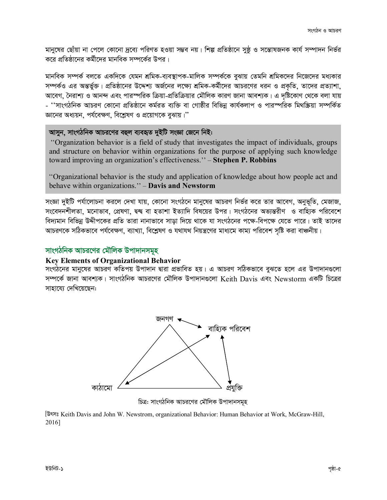মানুষের ছোঁয়া না পেলে কোনো দ্রব্যে পরিণত হওয়া সম্ভব নয়। শিল্প প্রতিষ্ঠানে সুষ্ঠ ও সম্ভোষজনক কার্য সম্পাদন নির্ভর করে প্রতিষ্ঠানের কর্মীদের মানবিক সম্পর্কের উপর।

মানবিক সম্পর্ক বলতে একদিকে যেমন শ্রমিক-ব্যবস্থাপক-মালিক সম্পর্ককে বুঝায় তেমনি শ্রমিকদের নিজেদের মধ্যকার সম্পর্কও এর অন্তর্ভুক্ত। প্রতিষ্ঠানের উদ্দেশ্য অর্জনের লক্ষ্যে শ্রমিক-কর্মীদের আচরণের ধরন ও প্রকৃতি, তাদের প্রত্যাশা, আবেগ, নৈরাশ্য ও আনন্দ এবং পারস্পরিক ক্রিয়া-প্রতিক্রিয়ার মৌলিক কারণ জানা আবশ্যক। এ দষ্টিকোণ থেকে বলা যায় - ''সাংগঠনিক আচরণ কোনো প্রতিষ্ঠানে কর্মরত ব্যক্তি বা গোষ্ঠীর বিভিন্ন কার্যকলাপ ও পারস্পরিক মিথস্ক্রিয়া সম্পর্কিত জ্ঞানের অধ্যয়ন, পর্যবেক্ষণ, বিশ্লেষণ ও প্রয়োগকে বুঝায়।''

### আসুন, সাংগঠনিক আচরণের বহুল ব্যবহৃত দুইটি সংজ্ঞা জেনে নিই:

"Organization behavior is a field of study that investigates the impact of individuals, groups and structure on behavior within organizations for the purpose of applying such knowledge toward improving an organization's effectiveness." - Stephen P. Robbins

"Organizational behavior is the study and application of knowledge about how people act and behave within organizations." - Davis and Newstorm

সংজ্ঞা দুইটি পর্যালোচনা করলে দেখা যায়, কোনো সংগঠনে মানুষের আচরণ নির্ভর করে তার আবেগ, অনুভূতি, মেজাজ, সংবেদনশীলতা, মনোভাব, প্রেষণা, দ্বন্দ্ব বা হতাশা ইত্যাদি বিষয়ের উপর। সংগঠনের অভ্যন্তরীণ ও বাহ্যিক পরিবেশে বিদ্যমান বিভিন্ন উদ্দীপকের প্রতি তারা নানাভাবে সাড়া দিয়ে থাকে যা সংগঠনের পক্ষে-বিপক্ষে যেতে পারে। তাই তাদের আচরণকে সঠিকভাবে পর্যবেক্ষণ, ব্যাখ্যা, বিশ্লেষণ ও যথাযথ নিয়ন্ত্রণের মাধ্যমে কাম্য পরিবেশ সষ্টি করা বাঞ্চনীয়।

### সাংগঠনিক আচরণের মৌলিক উপাদানসমূহ

### **Key Elements of Organizational Behavior**

সংগঠনের মানুষের আচরণ কতিপয় উপাদান দ্বারা প্রভাবিত হয়। এ আচরণ সঠিকভাবে বুঝতে হলে এর উপাদানগুলো সম্পৰ্কে জানা আবশ্যক। সাংগঠনিক আচরণের মৌলিক উপাদানগুলো Keith Davis এবং Newstorm একটি চিত্রের সাহায্যে দেখিয়েছেন:



চিত্র: সাংগঠনিক আচরণের মৌলিক উপাদানসমূহ

(উৎসঃ Keith Davis and John W. Newstrom, organizational Behavior: Human Behavior at Work, McGraw-Hill, 2016]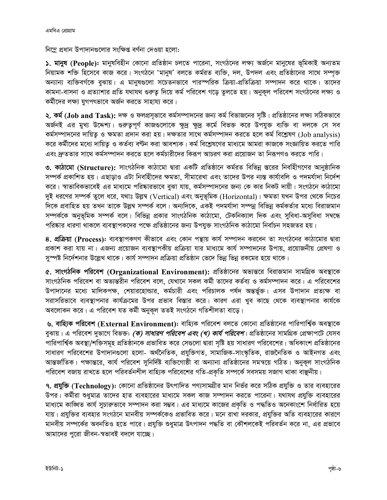নিম্লে প্রধান উপাদানগুলোর সংক্ষিপ্ত বর্ণনা দেওয়া হলো:

১. মানুষ (People): মানুষবিহীন কোনো প্রতিষ্ঠান চলতে পারেনা, সংগঠনের লক্ষ্য অর্জনে মানুষের ভূমিকাই অন্যতম নিয়ামক শক্তি হিসেবে কাজ করে। সংগঠনে 'মানুষ' বলতে কর্মরত ব্যক্তি, দল, উপদল এবং প্রতিষ্ঠানের সাথে সম্পৃক্ত অন্যান্য ব্যক্তিবর্গকে বুঝায়। এ মানুষগুলো সচেতনভাবে পারস্পরিক ক্রিয়া-প্রতিক্রিয়া সম্পাদন করে থাকে। তাদের কামনা-বাসনা ও প্রত্যাশার প্রতি যথাযথ গুরুতু দিয়ে কর্ম পরিবেশ গড়ে তুলতে হয়। অনুকূল পরিবেশ সংগঠনের লক্ষ্য ও কর্মীদের লক্ষ্য যুগপৎভাবে অর্জন করতে সাহায্য করে।

**২. কর্ম (Job and Task):** দক্ষ ও ফলপ্রসূভাবে কর্মসম্পাদনের জন্য কর্ম বিভাজনের সৃষ্টি। প্রতিষ্ঠানের লক্ষ্য সঠিকভাবে অৰ্জনই এর মুখ্য উদ্দেশ্য। গুরুতুপূর্ণ কাজগুলোকে ক্ষুদ্র ক্ষুদ্র কর্মে বিভক্ত করে উপযুক্ত ব্যক্তি বা দলকে সে সব কর্মসম্পাদনের দায়িত্ব ও ক্ষমতা প্রদান করা হয়। দক্ষতার সাথে কর্মসম্পাদন করতে হলে কর্ম বিশ্লেষণ (Job analysis) করে কর্মীদের মধ্যে দায়িত ও কর্তব্য বণ্টন করা আবশ্যক। কর্ম বিশ্লেষণের মাধ্যমে আমরা কাজকে সংজ্ঞায়িত করতে পারি এবং দ্রুততার সাথে কর্মসম্পাদন করতে হলে কর্মচারীদের কিরূপ আচরণ করা প্রয়োজন তা নিরূপণও করতে পারি।

৩. কাঠামো (Structure): সাংগঠনিক কাঠামো দ্বারা একটি প্রতিষ্ঠানে কর্মরত বিভিন্ন স্তরের নির্বাহীগণের আনুষ্ঠানিক সম্পর্ক প্রকাশিত হয়। এছাড়াও এটা নিবহীিদের ক্ষমতা, সীমারেখা এবং তাদের উপর ন্যস্ত কার্যাবলি ও পদমর্যাদা নির্দেশ করে। স্বাভাবিকভাবেই এর মাধ্যমে পরিষ্কারভাবে বুঝা যায়, কর্মসম্পাদনের জন্য কে কার নিকট দায়ী। সংগঠনে কাঠামো দুই ধরণের সম্পর্ক তুলে ধরে, যথাঃ উল্লুম্ব (Vertical) এবং অনুভূমিক (Horizontal)। ক্ষমতা যখন উপর থেকে নিচের দিকে প্রবাহিত হয় তখন তাকে উল্লম্ব সম্পর্ক বলে। অন্যদিকে, একই পদমর্যাদা সম্পন্ন বিভিন্ন কর্মকর্তার মধ্যে বিরাজমান সম্পৰ্ককে অনুভূমিক সম্পৰ্ক বলে। বিভিন্ন প্ৰকার সাংগঠনিক কাঠামো, টেকনিক্যাল দিক এবং সুবিধা-অসুবিধা সম্বন্ধে পরিষ্কার ধারণা থাকলে ব্যবস্থাপকদের পক্ষে প্রতিষ্ঠানের জন্য উপযুক্ত সাংগঠনিক কাঠামো নির্বাচন সহজতর হয়।

8. প্রক্রিয়া (Process): ব্যবস্থাপকগণ কীভাবে এবং কোন পন্থায় কার্য সম্পাদন করবেন তা সংগঠনের কাঠামোর দ্বারা প্রকাশ করা যায় না। এজন্য প্রয়োজন ব্যবস্থাপকীয় প্রক্রিয়া যার মাধ্যমে কার্য সম্পাদনের উপায়, প্রয়োজনীয় প্রেষণা ও সস্পষ্ট নির্দেশনার উল্লেখ থাকে। কার্য সম্পাদন প্রক্রিয়া প্রতিষ্ঠান ভেদে ভিন্ন ভিন্ন রকমের হয়ে থাকে।

৫. সাংগঠনিক পরিবেশ (Organizational Environment): প্রতিষ্ঠানের অভ্যন্তরে বিরাজমান সামগ্রিক অবস্থাকে সাংগঠনিক পরিবেশ বা অভ্যন্তরীন পরিবেশ বলে, যেখানে সকল কর্মী তাদের কর্তব্য ও কর্মসম্পাদন করে। এ পরিবেশের উপাদানের মধ্যে মালিকপক্ষ, শেয়ারহোল্ডার, কর্মচারী এবং পরিচালক পর্যদ অন্তর্ভুক্ত। এসব উপাদান প্রত্যক্ষ বা সরাসরিভাবে ব্যবস্থাপনার কার্যক্রমের উপর প্রভাব বিস্তার করে। কারণ এরা খুব কাছে থেকে ব্যবস্থাপনার কার্যকে অবলোকন করে। এ পরিবেশ যত কর্মী অনুকল ততই সংগঠনে গতিশীলতা বাড়ে।

৬. বাহ্যিক পরিবেশ (External Environment): বাহ্যিক পরিবেশ বলতে কোনো প্রতিষ্ঠানের পারিপার্শ্বিক অবস্থাকে বুঝায়। এ পরিবেশ দুভাগে বিভক্ত: *(ক) সাধারণ পরিবেশ এবং (খ) কার্য পরিবেশ*। প্রতিষ্ঠানের সামগ্রিক প্রেক্ষাপটে যেসব পারিপার্শ্বিক অবস্থা/শক্তিসমূহ প্রতিষ্ঠানকে প্রভাবিত করে সেগুলো দ্বারা সৃষ্টি হয় সাধারণ পরিবেশের। অধিকাংশ প্রতিষ্ঠানের সাধারণ পরিবেশের উপাদানগুলো হলো- অর্থনৈতিক, প্রযুক্তিগত, সামাজিক-সাংস্কৃতিক, রাজনৈতিক ও আইনগত এবং আন্তর্জাতিক। পক্ষান্তরে, কার্য পরিবেশ সুনির্দিষ্ট ব্যক্তিগোষ্ঠী বা অন্যান্য প্রতিষ্ঠানের সমন্বয়ে গঠিত। অনুকূল সাংগঠনিক পরিবেশ বজায় রাখতে হলে পরিবর্তনশীল বাহ্যিক পরিবেশের গতি-প্রকৃতি সম্পর্কে সবসময় সজাগ থাকা বাঞ্ছনীয়।

৭. প্রযুক্তি (Technology): কোনো প্রতিষ্ঠানের উৎপাদিত পণ্যসামগ্রীর মান নির্ভর করে সঠিক প্রযুক্তি ও তার ব্যবহারের উপর। কর্মীরা শুধুমাত্র তাদের হাত ব্যবহারের মাধ্যমে সকল কাজ সম্পাদন করতে পারেনা। যথাযথ প্রযুক্তি ব্যবহারের মাধ্যমে কাঙ্গিত কার্য সুচারুভাবে সম্পাদন করা সম্ভব। এর মাধ্যমে কাজের প্রকৃতি ও পদ্ধতিও অনেকাংশে নির্ধারিত হয়ে যায়। প্রযুক্তির ব্যবহার সংগঠনে মানবীয় সম্পর্ককেও প্রভাবিত করে। মনে রাখা দরকার, প্রযুক্তির অতি ব্যবহারের কারণে মানবীয় সম্পর্কের অবনতিও হতে পারে। প্রযুক্তি শুধুমাত্র উৎপাদন পদ্ধতি বা কৌশলকেই পরিবর্তন করে না. এর প্রভাবে আমাদের পুরো জীবন-স্বভাবই বদলে যাচ্ছে।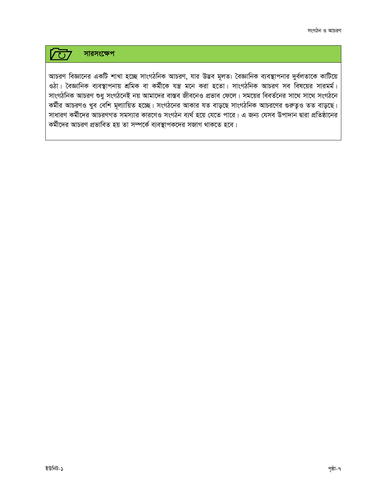#### সারসংক্ষেপ **VU7**

আচরণ বিজ্ঞানের একটি শাখা হচ্ছে সাংগঠনিক আচরণ, যার উদ্ভব মূলত: বৈজ্ঞানিক ব্যবস্থাপনার দুর্বলতাকে কাটিয়ে ওঠা। বৈজ্ঞানিক ব্যবস্থাপনায় শ্রমিক বা কর্মীকে যন্ত্র মনে করা হতো। সাংগঠনিক আচরণ সব বিষয়ের সারমর্ম। সাংগঠনিক আচরণ শুধু সংগঠনেই নয় আমাদের বাস্তব জীবনেও প্রভাব ফেলে। সময়ের বিবর্তনের সাথে সাথে সংগঠনে কর্মীর আচরণও খুব বেশি মূল্যায়িত হচ্ছে। সংগঠনের আকার যত বাড়ছে সাংগঠনিক আচরণের গুরুত্বও তত বাড়ছে। সাধারণ কর্মীদের আচরণগত সমস্যার কারণেও সংগঠন ব্যর্থ হয়ে যেতে পারে। এ জন্য যেসব উপাদান দ্বারা প্রতিষ্ঠানের কর্মীদের আচরণ প্রভাবিত হয় তা সম্পর্কে ব্যবস্থাপকদের সজাগ থাকতে হবে।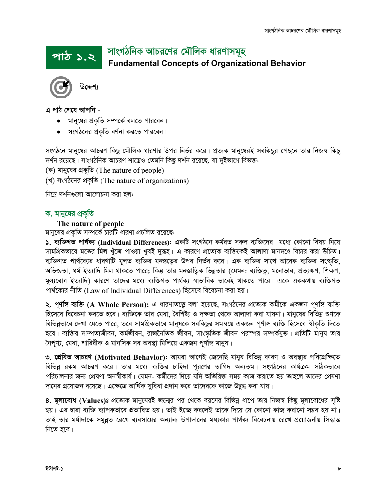## সাংগঠনিক আচরণের মৌলিক ধারণাসমূহ **Fundamental Concepts of Organizational Behavior** *cvV 1.2*



উদ্দেশ্য

*G cvV †k‡l Avcwb -*

- $\bullet$  মানুষের প্রকৃতি সম্পর্কে বলতে পারবেন।
- $\bullet$  সংগঠনের প্রকৃতি বর্ণনা করতে পারবেন।

সংগঠনে মানুষের আচরণ কিছু মৌলিক ধারণার উপর নির্ভর করে। প্রত্যক মানুষেরই সবকিছুর পেছনে তার নিজস্ব কিছু *দর্শ*ন রয়েছে। সাংগঠনিক আচরণ শাস্ত্রেও তেমনি কিছু দর্শন রয়েছে, যা দুইভাগে বিভক্ত:

*(*ক) মানুষের প্রকৃতি *(The nature of people)* 

(খ) সংগঠনের প্রকৃতি (The nature of organizations)

*নিম্নে দৰ্শনগু*লো আলোচনা করা হল:

### *ক. মানু*ষের প্রকৃতি

### **The nature of people**

মানুষের প্রকৃতি সম্পর্কে চারটি ধারণা প্রচলিত রয়েছে:

 $\lambda$ . ব্যক্তিগত পার্থক্য (Individual Differences): একটি সংগঠনে কর্মরত সকল ব্যক্তিদের মধ্যে কোনো বিষয় নিয়ে সামগ্রিকভাবে মতের মিল খুঁজে পাওয়া খুবই দুরূহ। এ কারণে প্রত্যেক ব্যক্তিকেই আলাদা মানদণ্ডে বিচার করা উচিত। ব্যক্তিগত পার্থক্যের ধারণাটি মূলত ব্যক্তির মনস্তত্যের উপর নির্ভর করে। এক ব্যক্তির সাথে আরেক ব্যক্তির সংস্কৃতি, অভিজ্ঞতা, ধর্ম ইত্যাদি মিল থাকতে পারে; কিন্তু তার মনস্তাত্বিক ভিন্নতার (যেমন: ব্যক্তিতু, মনোভাব, প্রত্যক্ষণ, শিক্ষণ, মূল্যবোধ ইত্যাদি) কারণে তাদের মধ্যে ব্যক্তিগত পার্থক্য স্বাভাবিক ভাবেই থাকতে পারে। একে এককথায় ব্যক্তিগত *cv\_©‡K¨i bxwZ (*Law of Individual Differences) *wn‡m‡e we‡ePbv Kiv nq|*

**২. পূর্ণাঙ্গ ব্যক্তি (A Whole Person):** এ ধারণাতত্ত্বে বলা হয়েছে, সংগঠনের প্রত্যেক কর্মীকে একজন পূর্ণাঙ্গ ব্যক্তি হিসেবে বিবেচনা করতে হবে। ব্যক্তিকে তার মেধা, বৈশিষ্ট্য ও দক্ষতা থেকে আলাদা করা যায়না। মানুষের বিভিন্ন গুণকে *বিভিন্নভাবে দেখা যেতে পারে, তবে সামগ্রিকভাবে মানুষকে সবকিছুর সমন্বয়ে একজন পূর্ণাঙ্গ ব্যক্তি হিসেবে স্বীকৃতি দিতে* হবে। ব্যক্তির দাম্পত্যজীবন, কর্মজীবন, রাজনৈতিক জীবন, সাংস্কৃতিক জীবন পরস্পর সম্পর্কযুক্ত। প্রতিটি মানুষ তার *ˆbc~Y¨, †gav, kvwiixK I gvbwmK me Ae¯'v wgwj‡q GKRb c~Yv©½ gvbyl|*

৩. **প্ৰেষিত আচরণ (Motivated Behavior):** আমরা আগেই জেনেছি মানুষ বিভিন্ন কারণ ও অবস্থার পরিপ্রেক্ষিতে বিভিন্ন রকম আচরণ করে। তার মধ্যে ব্যক্তির চাহিদা পরণের তাগিদ অন্যতম। সংগঠনের কার্যক্রম সঠিকভাবে পরিচালনার জন্য প্রেষণা অনস্বীকার্য। যেমন- কর্মীদের দিয়ে যদি অতিরিক্ত সময় কাজ করাতে হয় তাহলে তাদের প্রেষণা *দা*নের প্রয়োজন রয়েছে। এক্ষেত্রে আর্থিক সবিধা প্রদান করে তাদেরকে কাজে উদ্বদ্ধ করা যায়।

*8.* মূল্যবোধ (Values)ঃ প্রত্যেক মানুষেরই জন্মের পর থেকে বয়সের বিভিন্ন ধাপে তার নিজস্ব কিছু মূল্যবোধের সৃষ্টি হয়। এর দ্বারা ব্যক্তি ব্যাপকভাবে প্রভাবিত হয়। তাই ইচ্ছে করলেই তাকে দিয়ে যে কোনো কাজ করানো সম্ভব হয় না। *ZvB Zvi gh©v`v‡K mgybœZ †i‡L e¨emv‡qi Ab¨vb¨ Dcv`v‡bi ga¨Kvi cv\_©K¨ we‡ePbvq †i‡L cÖ‡qvRbxq wm×všÍ নিতে হবে।*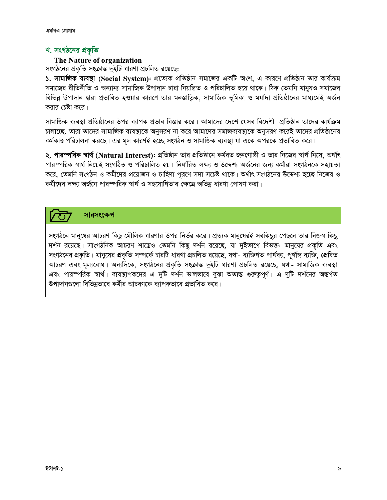### খ. সংগঠনের প্রকৃতি

### The Nature of organization

সংগঠনের প্রকৃতি সংক্রান্ত দুইটি ধারণা প্রচলিত রয়েছে:

১. সামাজিক ব্যবস্থা (Social System): প্রত্যেক প্রতিষ্ঠান সমাজের একটি অংশ, এ কারণে প্রতিষ্ঠান তার কার্যক্রম সমাজের রীতিনীতি ও অন্যান্য সামাজিক উপাদান দ্বারা নিয়ন্ত্রিত ও পরিচালিত হয়ে থাকে। ঠিক তেমনি মানুষও সমাজের বিভিন্ন উপাদান দ্বারা প্রভাবিত হওয়ার কারণে তার মনস্তাতিক, সামাজিক ভূমিকা ও মর্যাদা প্রতিষ্ঠানের মাধ্যমেই অর্জন করার চেষ্টা করে।

সামাজিক ব্যবস্থা প্রতিষ্ঠানের উপর ব্যাপক প্রভাব বিস্তার করে। আমাদের দেশে যেসব বিদেশী প্রতিষ্ঠান তাদের কার্যক্রম চালাচ্ছে, তারা তাদের সামাজিক ব্যবস্থাকে অনুসরণ না করে আমাদের সমাজব্যবস্থাকে অনুসরণ করেই তাদের প্রতিষ্ঠানের কর্মকাণ্ড পরিচালনা করছে। এর মূল কারণই হচ্ছে সংগঠন ও সামাজিক ব্যবস্থা যা একে অপরকে প্রভাবিত করে।

২. পারস্পরিক স্বার্থ (Natural Interest): প্রতিষ্ঠান তার প্রতিষ্ঠানে কর্মরত জনগোষ্ঠী ও তার নিজের স্বার্থ নিয়ে, অর্থাৎ পারস্পরিক স্বার্থ নিয়েই সংগঠিত ও পরিচালিত হয়। নির্ধারিত লক্ষ্য ও উদ্দেশ্য অর্জনের জন্য কর্মীরা সংগঠনকে সহায়তা করে, তেমনি সংগঠন ও কর্মীদের প্রয়োজন ও চাহিদা পূরণে সদা সচেষ্ট থাকে। অর্থাৎ সংগঠনের উদ্দেশ্য হচ্ছে নিজের ও কর্মীদের লক্ষ্য অর্জনে পারস্পরিক স্বার্থ ও সহযোগিতার ক্ষেত্রে অভিন্ন ধারণা পোষণ করা।

সারসংক্ষেপ

সংগঠনে মানুষের আচরণ কিছু মৌলিক ধারণার উপর নির্ভর করে। প্রত্যক মানুষেরই সবকিছুর পেছনে তার নিজস্ব কিছু দর্শন রয়েছে। সাংগঠনিক আচরণ শাস্ত্রেও তেমনি কিছু দর্শন রয়েছে, যা দুইভাগে বিভক্ত: মানুষের প্রকৃতি এবং সংগঠনের প্রকৃতি। মানুষের প্রকৃতি সম্পর্কে চারটি ধারণা প্রচলিত রয়েছে, যথা- ব্যক্তিগত পার্থক্য, পূর্ণাঙ্গ ব্যক্তি, প্রেষিত আচরণ এবং মূল্যবোধ। অন্যদিকে, সংগঠনের প্রকৃতি সংক্রান্ত দুইটি ধারণা প্রচলিত রয়েছে, যথা- সামাজিক ব্যবস্থা এবং পারস্পরিক স্বার্থ। ব্যবস্থাপকদের এ দুটি দর্শন ভালভাবে বুঝা অত্যন্ত গুরুতুপূর্ণ। এ দুটি দর্শনের অন্তর্গত উপাদানগুলো বিভিন্নভাবে কর্মীর আচরণকে ব্যাপকভাবে প্রভাবিত করে।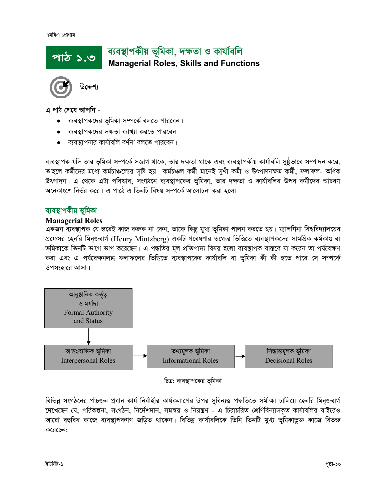### ব্যবস্থাপকীয় ভূমিকা, দক্ষতা ও কাৰ্যাবলি পাঠ ১.৩ **Managerial Roles, Skills and Functions**



উদ্দেশ্য

এ পাঠ শেষে আপনি -

- ব্যবস্থাপকদের ভূমিকা সম্পর্কে বলতে পারবেন।
- ব্যবস্থাপকদের দক্ষতা ব্যাখ্যা করতে পারবেন।
- ব্যবস্থাপনার কার্যাবলি বর্ণনা বলতে পারবেন।

ব্যবস্থাপক যদি তার ভূমিকা সম্পর্কে সজাগ থাকে, তার দক্ষতা থাকে এবং ব্যবস্থাপকীয় কার্যাবলি সুষ্ঠূভাবে সম্পাদন করে, তাহলে কর্মীদের মধ্যে কর্মচাঞ্চল্যের সৃষ্টি হয়। কর্মচঞ্চল কর্মী মানেই সুখী কর্মী ও উৎপাদনক্ষম কর্মী, ফলাফল- অধিক উৎপাদন। এ থেকে এটা পরিষ্কার, সংগঠনে ব্যবস্থাপকের ভূমিকা, তার দক্ষতা ও কার্যাবলির উপর কর্মীদের আচরণ অনেকাংশে নির্ভর করে। এ পাঠে এ তিনটি বিষয় সম্পর্কে আলোচনা করা হলো।

### ব্যবস্থাপকীয় ভূমিকা

### **Managerial Roles**

একজন ব্যবস্থাপক যে স্তরেই কাজ করুক না কেন, তাকে কিছু মূখ্য ভূমিকা পালন করতে হয়। ম্যালগিনা বিশ্ববিদ্যালয়ের প্রফেসর হেনরি মিন্জবার্গ (Henry Mintzberg) একটি গবেষণার তথ্যের ভিত্তিতে ব্যবস্থাপকদের সামগ্রিক কর্মকাণ্ড বা ভূমিকাকে তিনটি ভাগে ভাগ করেছেন। এ পদ্ধতির মূল প্রতিপাদ্য বিষয় হলো ব্যবস্থাপক বাস্তবে যা করেন তা পর্যবেক্ষণ করা এবং এ পর্যবেক্ষনলব্ধ ফলাফলের ভিত্তিতে ব্যবস্থাপকের কার্যাবলি বা ভূমিকা কী কী হতে পারে সে সম্পর্কে উপসংহারে আসা।



চিত্র: ব্যবস্থাপকের ভূমিকা

বিভিন্ন সংগঠনের পাঁচজন প্রধান কার্য নির্বাহীর কার্যকলাপের উপর সুবিন্যস্ত পদ্ধতিতে সমীক্ষা চালিয়ে হেনরি মিনজবার্গ দেখেছেন যে, পরিকল্পনা, সংগঠন, নির্দেশদান, সমন্বয় ও নিয়ন্ত্রণ - এ চিরাচরিত শ্রেণিবিন্যাসকৃত কার্যাবলির বাইরেও আরো বহুবিধ কাজে ব্যবস্থাপকগণ জড়িত থাকেন। বিভিন্ন কার্যাবলিকে তিনি তিনটি মুখ্য ভূমিকাভুক্ত কাজে বিভক্ত করেছেন: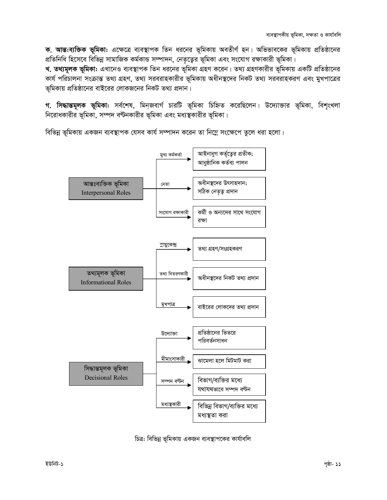ক. আন্ত:ব্যক্তিক ভূমিকা: এক্ষেত্রে ব্যবস্থাপক তিন ধরনের ভূমিকায় অবতীর্ণ হন। অভিভাবকের ভূমিকায় প্রতিষ্ঠানের প্রতিনিধি হিসেবে বিভিন্ন সামাজিক কর্মকান্ড সম্পাদন, নেতৃত্বের ভূমিকা এবং সংযোগ রক্ষাকারী ভূমিকা।

খ. তথ্যমূলক ভূমিকা: এখানেও ব্যবস্থাপক তিন ধরনের ভূমিকা গ্রহণ করেন। তথ্য গ্রহণকারীর ভূমিকায় একটি প্রতিষ্ঠানের কার্য পরিচালনা সংক্রান্ত তথ্য গ্রহণ, তথ্য সরবরাহকারীর ভূমিকায় অধীনস্থদের নিকট তথ্য সরবরাহকরণ এবং মুখপাত্রের ভূমিকায় প্রতিষ্ঠানের বাইরের লোকজনের নিকট তথ্য প্রদান।

**গ. সিদ্ধান্তমূলক ভূমিকা:** সৰ্বশেষ, মিনজবাৰ্গ চাৱটি ভূমিকা চিহ্নিত করেছিলেন। উদ্যোক্তার ভূমিকা, বিশৃংখলা নিরোধকারীর ভূমিকা, সম্পদ বণ্টনকারীর ভূমিকা এবং মধ্যস্থকারীর ভূমিকা।

বিভিন্ন ভূমিকায় একজন ব্যবস্থাপক যেসব কার্য সম্পাদন করেন তা নিম্নে সংক্ষেপে তুলে ধরা হলো।



চিত্র: বিভিন্ন ভূমিকায় একজন ব্যবস্থাপকের কার্যাবলি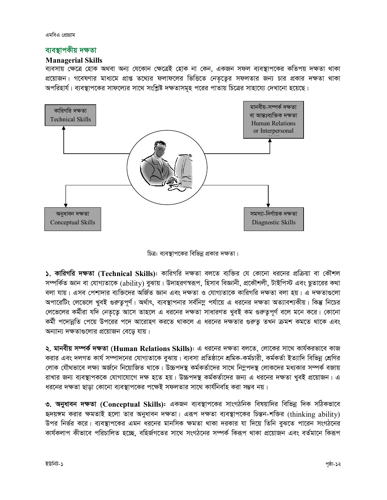এমবিএ প্রোগ্রাম

### ব্যবস্থাপকীয় দক্ষতা

### **Managerial Skills**

ব্যবসায় ক্ষেত্রে হোক অথবা অন্য যেকোন ক্ষেত্রেই হোক না কেন, একজন সফল ব্যবস্থাপকের কতিপয় দক্ষতা থাকা প্রয়োজন। গবেষণার মাধ্যমে প্রাপ্ত তথ্যের ফলাফলের ভিত্তিতে নেতৃত্বের সফলতার জন্য চার প্রকার দক্ষতা থাকা অপরিহার্য। ব্যবস্থাপকের সাফল্যের সাথে সংশ্লিষ্ট দক্ষতাসমূহ পরের পাতায় চিত্রের সাহায্যে দেখানো হয়েছে।



চিত্র: ব্যবস্থাপকের বিভিন্ন প্রকার দক্ষতা।

১. কারিগরি দক্ষতা (Technical Skills): কারিগরি দক্ষতা বলতে ব্যক্তির যে কোনো ধরনের প্রক্রিয়া বা কৌশল সম্পর্কিত জ্ঞান বা যোগ্যতাকে (ability) বুঝায়। উদাহরণস্বরূপ, হিসাব বিজ্ঞানী, প্রকৌশলী, টাইপিস্ট এবং ছুতারের কথা বলা যায়। এসব পেশাদার ব্যক্তিদের অর্জিত জ্ঞান এবং দক্ষতা ও যোগ্যতাকে কারিগরি দক্ষতা বলা হয়। এ দক্ষতাগুলো অপারেটিং লেভেলে খুবই গুরুত্বপূর্ণ। অর্থাৎ, ব্যবস্থাপনার সর্বনিম্ন পর্যায়ে এ ধরনের দক্ষতা অত্যাবশ্যকীয়। কিন্তু নিচের লেভেলের কর্মীরা যদি নেতৃত্বে আসে তাহলে এ ধরনের দক্ষতা সাধারণত খুবই কম গুরুত্বপূর্ণ বলে মনে করে। কোনো কর্মী পদোন্নতি পেয়ে উপরের পদে আরোহণ করতে থাকলে এ ধরনের দক্ষতার গুরুতূ তখন ক্রমশ কমতে থাকে এবং অন্যান্য দক্ষতাগুলোর প্রয়োজন বেডে যায়।

২. মানবীয় সম্পর্ক দক্ষতা (Human Relations Skills): এ ধরনের দক্ষতা বলতে, লোকের সাথে কার্যকরভাবে কাজ করার এবং দলগত কার্য সম্পাদনের যোগ্যতাকে বুঝায়। ব্যবসা প্রতিষ্ঠানে শ্রমিক-কর্মচারী, কর্মকর্তা ইত্যাদি বিভিন্ন শ্রেণির লোক যৌথভাবে লক্ষ্য অর্জনে নিয়োজিত থাকে। উচ্চপদস্থ কর্মকর্তাদের সাথে নিমুপদস্থ লোকদের মধ্যকার সম্পর্ক বজায় রাখার জন্য ব্যবস্থাপককে যোগাযোগে দক্ষ হতে হয়। উচ্চপদস্থ কর্মকর্তাদের জন্য এ ধরনের দক্ষতা খুবই প্রয়োজন। এ ধরনের দক্ষতা ছাডা কোনো ব্যবস্থাপকের পক্ষেই সফলতার সাথে কার্যনির্বাহ করা সম্ভব নয়।

৩. অনুধাবন দক্ষতা (Conceptual Skills): একজন ব্যবস্থাপকের সাংগঠনিক বিষয়াদির বিভিন্ন দিক সঠিকভাবে হৃদয়ঙ্গম করার ক্ষমতাই হলো তার অনুধাবন দক্ষতা। এরূপ দক্ষতা ব্যবস্থাপকের চিন্তন-শক্তির (thinking ability) উপর নির্ভর করে। ব্যবস্থাপকের এমন ধরনের মানসিক ক্ষমতা থাকা দরকার যা দিয়ে তিনি বুঝতে পারেন সংগঠনের কার্যকলাপ কীভাবে পরিচালিত হচ্ছে, বহির্জগতের সাথে সংগঠনের সম্পর্ক কিরূপ থাকা প্রয়োজন এবং বর্তমানে কিরূপ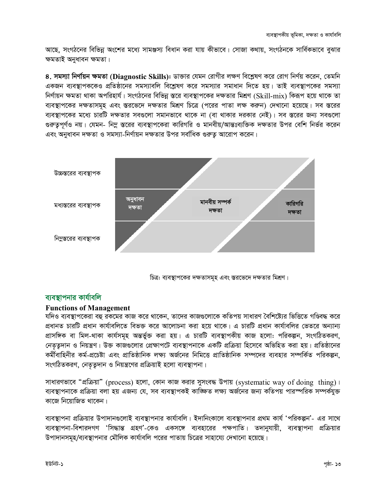আছে, সংগঠনের বিভিন্ন অংশের মধ্যে সামঞ্জস্য বিধান করা যায় কীভাবে। সোজা কথায়, সংগঠনকে সার্বিকভাবে বুঝার ক্ষমতাই অনুধাবন ক্ষমতা।

8. সমস্যা নির্ণায়ন ক্ষমতা (Diagnostic Skills): ডাক্তার যেমন রোগীর লক্ষণ বিশ্লেষণ করে রোগ নির্ণয় করেন. তেমনি একজন ব্যবস্থাপককেও প্রতিষ্ঠানের সমস্যাবলি বিশ্লেষণ করে সমস্যার সমাধান দিতে হয়। তাই ব্যবস্থাপকের সমস্যা নির্ণায়ন ক্ষমতা থাকা অপরিহার্য। সংগঠনের বিভিন্ন স্তরে ব্যবস্থাপকের দক্ষতার মিশ্রণ (Skill-mix) কিরূপ হয়ে থাকে তা ব্যবস্থাপকের দক্ষতাসমূহ এবং স্তরভেদে দক্ষতার মিশ্রণ চিত্রে (পরের পাতা লক্ষ করুন) দেখানো হয়েছে। সব স্তরের ব্যবস্থাপকের মধ্যে চারটি দক্ষতার সবগুলো সমানভাবে থাকে না (বা থাকার দরকার নেই)। সব স্তরের জন্য সবগুলো গুরুতুপূর্ণও নয়। যেমন- নিমু স্তরের ব্যবস্থাপকেরা কারিগরি ও মানবীয়/আন্তঃব্যক্তিক দক্ষতার উপর বেশি নির্ভর করেন এবং অনুধাবন দক্ষতা ও সমস্যা-নির্ণায়ন দক্ষতার উপর সর্বাধিক গুরুতু আরোপ করেন।



চিত্র: ব্যবস্থাপকের দক্ষতাসমূহ এবং স্তরভেদে দক্ষতার মিশ্রণ।

### ব্যবস্থাপনার কার্যাবলি

### **Functions of Management**

যদিও ব্যবস্থাপকেরা বহু রকমের কাজ করে থাকেন, তাদের কাজগুলোকে কতিপয় সাধারণ বৈশিষ্ট্যের ভিত্তিতে গণ্ডিবদ্ধ করে প্রধানত চারটি প্রধান কার্যাবলিতে বিভক্ত করে আলোচনা করা হয়ে থাকে। এ চারটি প্রধান কার্যাবলির ভেতরে অন্যান্য প্রাসঙ্গিক বা মিল-থাকা কার্যসমূহ অন্তর্ভুক্ত করা হয়। এ চারটি ব্যবস্থাপকীয় কাজ হলো: পরিকল্পন, সংগঠিতকরণ, নেতৃতুদান ও নিয়ন্ত্রণ। উক্ত কাজগুলোর প্রেক্ষাপটে ব্যবস্থাপনাকে একটি প্রক্রিয়া হিসেবে অভিহিত করা হয়। প্রতিষ্ঠানের কর্মীবাহিনীর কর্ম-প্রচেষ্টা এবং প্রাতিষ্ঠানিক লক্ষ্য অর্জনের নিমিত্তে প্রাতিষ্ঠানিক সম্পদের ব্যবহার সম্পর্কিত পরিকল্পন, সংগঠিতকরণ, নেতৃতুদান ও নিয়ন্ত্রণের প্রক্রিয়াই হলো ব্যবস্থাপনা।

সাধারণভাবে "প্রক্রিয়া" (process) হলো, কোন কাজ করার সুসংবদ্ধ উপায় (systematic way of doing thing)। ব্যবস্থাপনাকে প্রক্রিয়া বলা হয় এজন্য যে, সব ব্যবস্থাপকই কাজ্ঞিত লক্ষ্য অর্জনের জন্য কতিপয় পারস্পরিক সম্পর্কযুক্ত কাজে নিয়োজিত থাকেন।

ব্যবস্থাপনা প্রক্রিয়ার উপাদানগুলোই ব্যবস্থাপনার কার্যাবলি। ইদানিংকালে ব্যবস্থাপনার প্রথম কার্য 'পরিকল্পন'- এর সাথে ব্যবস্থাপনা-বিশারদগণ 'সিদ্ধান্ত গ্রহণ'-কেও একসঙ্গে ব্যবহারের পক্ষপাতি। তদানুযায়ী, ব্যবস্থাপনা প্রক্রিয়ার উপাদানসমূহ/ব্যবস্থাপনার মৌলিক কার্যাবলি পরের পাতায় চিত্রের সাহায্যে দেখানো হয়েছে।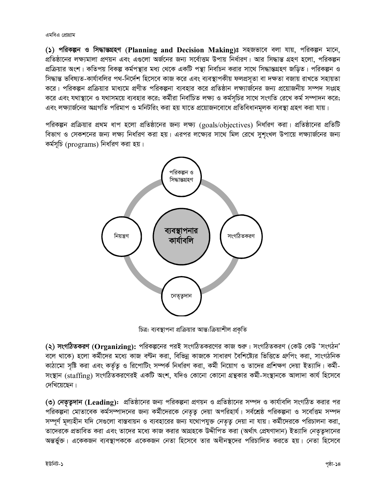এমবিএ প্রোগ্রাম

() পরিকল্পন ও সিদ্ধান্তগ্রহণ (Planning and Decision Making)ঃ সহজভাবে বলা যায়, পরিকল্পন মানে, প্রতিষ্ঠানের লক্ষ্যমালা প্রণয়ন এবং এগুলো অর্জনের জন্য সর্বোত্তম উপায় নির্ধারণ। আর সিদ্ধান্ত গ্রহণ হলো, পরিকল্পন প্রক্রিয়ার অংশ। কতিপয় বিকল্প কর্মপন্থার মধ্য থেকে একটি পন্থা নির্বাচন করার সাথে সিদ্ধান্তগ্রহণ জড়িত। পরিকল্পন ও সিদ্ধান্ত ভবিষ্যত-কাৰ্যাবলির পথ-নির্দেশ হিসেবে কাজ করে এবং ব্যবস্থাপকীয় ফলপ্রসূতা বা দক্ষতা বজায় রাখতে সহায়তা করে। পরিকল্পন প্রক্রিয়ার মাধ্যমে প্রণীত পরিকল্পনা ব্যবহার করে প্রতিষ্ঠান লক্ষ্যার্জনের জন্য প্রয়োজনীয় সম্পদ সংগ্রহ করে এবং যথাস্থানে ও যথাসময়ে ব্যবহার করে; কর্মীরা নির্বাচিত লক্ষ্য ও কর্মসূচির সাথে সংগতি রেখে কর্ম সম্পাদন করে; এবং লক্ষ্যার্জনের অগ্রগতি পরিমাপ ও মনিটরিং করা হয় যাতে প্রয়োজনবোধে প্রতিবিধানমূলক ব্যবস্থা গ্রহণ করা যায়।

পরিকল্পন প্রক্রিয়ার প্রথম ধাপ হলো প্রতিষ্ঠানের জন্য লক্ষ্য (goals/objectives) নির্ধারণ করা। প্রতিষ্ঠানের প্রতিটি বিভাগ ও সেকশনের জন্য লক্ষ্য নির্ধারণ করা হয়। এরপর লক্ষ্যের সাথে মিল রেখে সুশৃংখল উপায়ে লক্ষ্যার্জনের জন্য কৰ্মসূচি (programs) নিৰ্ধাৱণ করা হয়।



চিত্র: ব্যবস্থাপনা প্রক্রিয়ার আন্ত:ক্রিয়াশীল প্রকৃতি

(২) সংগঠিতকরণ (Organizing): পরিকল্পনের পরই সংগঠিতকরণের কাজ শুরু। সংগঠিতকরণ (কেউ কেউ 'সংগঠন' বলে থাকে) হলো কর্মীদের মধ্যে কাজ বণ্টন করা, বিভিন্ন কাজকে সাধারণ বৈশিষ্ট্যের ভিত্তিতে গ্রুপিং করা, সাংগঠনিক কাঠামো সৃষ্টি করা এবং কর্তৃত্ব ও রিপোটিং সম্পর্ক নির্ধারণ করা, কর্মী নিয়োগ ও তাদের প্রশিক্ষণ দেয়া ইত্যাদি। কর্মী-সংস্থান (staffing) সংগঠিতকরণেরই একটি অংশ, যদিও কোনো কোনো গ্রন্থকার কর্মী-সংস্থানকে আলাদা কার্য হিসেবে দেখিয়েছেন।

(৩) নেতৃত্বদান (Leading): প্রতিষ্ঠানের জন্য পরিকল্পনা প্রণয়ন ও প্রতিষ্ঠানের সম্পদ ও কার্যাবলি সংগঠিত করার পর পরিকল্পনা মোতাবেক কর্মসম্পাদনের জন্য কর্মীদেরকে নেতৃত্ব দেয়া অপরিহার্য। সর্বশ্রেষ্ঠ পরিকল্পনা ও সর্বোত্তম সম্পদ সম্পূর্ণ মূল্যহীন যদি সেগুলো বাস্তবায়ন ও ব্যবহারের জন্য যথোপযুক্ত নেতৃত্ব দেয়া না যায়। কর্মীদেরকে পরিচালনা করা, তাদেরকে প্রভাবিত করা এবং তাদের মধ্যে কাজ করার আগ্রহকে উদ্দীপিত করা (অর্থাৎ প্রেষণাদান) ইত্যাদি নেতৃতুদানের অন্তৰ্ভুক্ত। একেকজন ব্যবস্থাপককে একেকজন নেতা হিসেবে তার অধীনস্থদের পরিচালিত করতে হয়। নেতা হিসেবে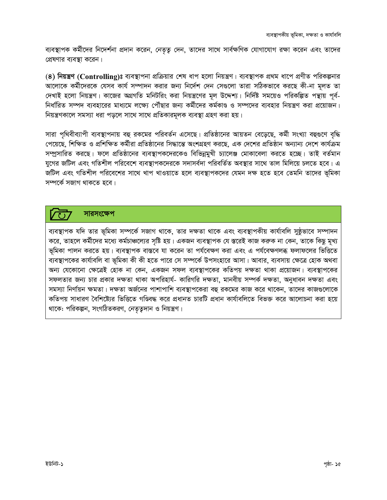ব্যবস্থাপক কর্মীদের নিদের্শনা প্রদান করেন, নেতৃত্ব দেন, তাদের সাথে সার্বক্ষণিক যোগাযোগ রক্ষা করেন এবং তাদের প্রেষণার ব্যবস্থা করেন।

(8) **নিয়ন্ত্রণ (Controlling)ঃ** ব্যবস্থাপনা প্রক্রিয়ার শেষ ধাপ হলো নিয়ন্ত্রণ। ব্যবস্থাপক প্রথম ধাপে প্রণীত পরিকল্পনার আলোকে কর্মীদেরকে যেসব কার্য সম্পাদন করার জন্য নির্দেশ দেন সেগুলো তারা সঠিকভাবে করছে কী-না মূলত তা দেখাই হলো নিয়ন্ত্রণ। কাজের অগ্রগতি মনিটরিং করা নিয়ন্ত্রণের মূল উদ্দেশ্য। নির্দিষ্ট সময়েও পরিকল্পিত পন্থায় পূর্ব-নির্ধারিত সম্পদ ব্যবহারের মাধ্যমে লক্ষ্যে পৌঁছার জন্য কর্মীদের কর্মকাণ্ড ও সম্পদের ব্যবহার নিয়ন্ত্রণ করা প্রয়োজন। নিয়ন্ত্রণকালে সমস্যা ধরা পড়লে সাথে সাথে প্রতিকারমূলক ব্যবস্থা গ্রহণ করা হয়।

সারা পৃথিবীব্যাপী ব্যবস্থাপনায় বহু রকমের পরিবর্তন এসেছে। প্রতিষ্ঠানের আয়তন বেড়েছে, কর্মী সংখ্যা বহুগুণে বৃদ্ধি পেয়েছে, শিক্ষিত ও প্রশিক্ষিত কর্মীরা প্রতিষ্ঠানের সিদ্ধান্তে অংশগ্রহণ করছে, এক দেশের প্রতিষ্ঠান অন্যান্য দেশে কার্যক্রম সম্প্রসারিত করছে। ফলে প্রতিষ্ঠানের ব্যবস্থাপকদেরকেও বিভিন্নমুখী চ্যালেঞ্জ মোকাবেলা করতে হচ্ছে। তাই বর্তমান যুগের জটিল এবং গতিশীল পরিবেশে ব্যবস্থাপকদেরকে সদাসর্বদা পরিবর্তিত অবস্থার সাথে তাল মিলিয়ে চলতে হবে। এ জটিল এবং গতিশীল পরিবেশের সাথে খাপ খাওয়াতে হলে ব্যবস্থাপকদের যেমন দক্ষ হতে হবে তেমনি তাদের ভূমিকা সম্পৰ্কে সজাগ থাকতে হবে।

### সারসংক্ষেপ

ব্যবস্থাপক যদি তার ভূমিকা সম্পর্কে সজাগ থাকে, তার দক্ষতা থাকে এবং ব্যবস্থাপকীয় কার্যাবলি সুষ্ঠূভাবে সম্পাদন করে, তাহলে কর্মীদের মধ্যে কর্মচাঞ্চল্যের সৃষ্টি হয়। একজন ব্যবস্থাপক যে স্তরেই কাজ করুক না কেন, তাকে কিছু মুখ্য ভূমিকা পালন করতে হয়। ব্যবস্থাপক বাস্তবে যা করেন তা পর্যবেক্ষণ করা এবং এ পর্যবেক্ষণলব্ধ ফলাফলের ভিত্তিতে ব্যবস্থাপকের কার্যাবলি বা ভূমিকা কী কী হতে পারে সে সম্পর্কে উপসংহারে আসা। আবার, ব্যবসায় ক্ষেত্রে হোক অথবা অন্য যেকোনো ক্ষেত্রেই হোক না কেন, একজন সফল ব্যবস্থাপকের কতিপয় দক্ষতা থাকা প্রয়োজন। ব্যবস্থাপকের সফলতার জন্য চার প্রকার দক্ষতা থাকা অপরিহার্য- কারিগরি দক্ষতা, মানবীয় সম্পর্ক দক্ষতা, অনুধাবন দক্ষতা এবং সমস্যা নির্ণায়ন ক্ষমতা। দক্ষতা অর্জনের পাশাপাশি ব্যবস্থাপকেরা বহু রকমের কাজ করে থাকেন, তাদের কাজগুলোকে কতিপয় সাধারণ বৈশিষ্ট্যের ভিত্তিতে গণ্ডিবদ্ধ করে প্রধানত চারটি প্রধান কার্যাবলিতে বিভক্ত করে আলোচনা করা হয়ে থাকে: পরিকল্পন, সংগঠিতকরণ, নেতৃত্বদান ও নিয়ন্ত্রণ।